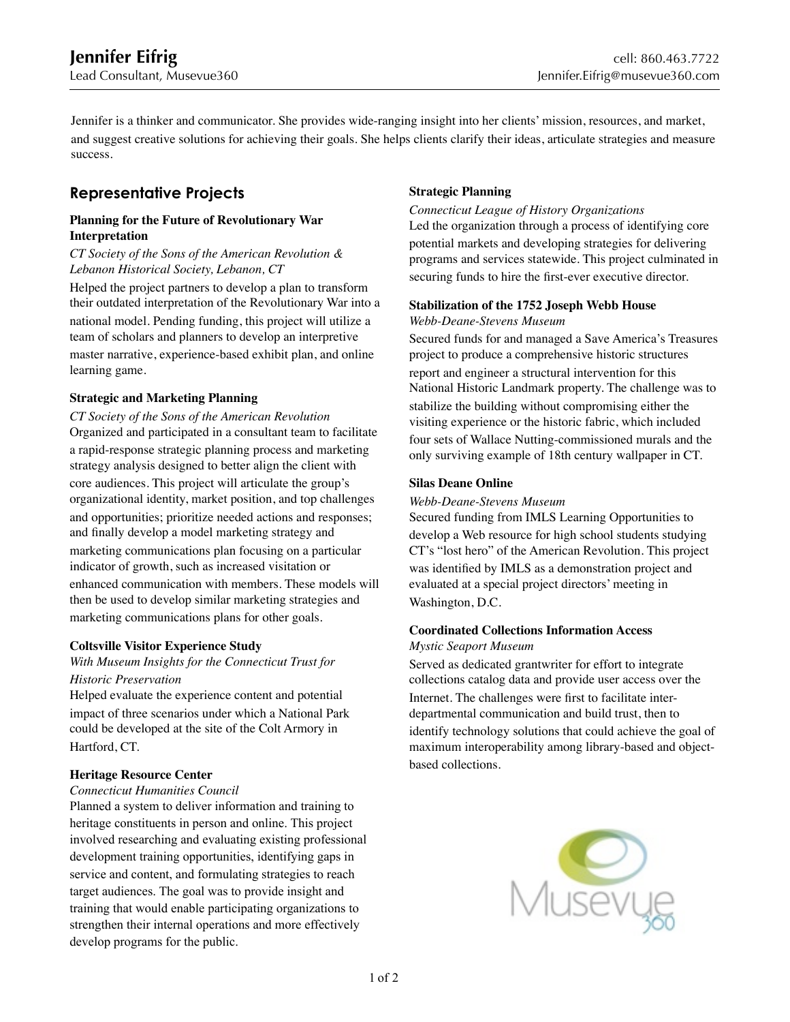֦

Jennifer is a thinker and communicator. She provides wide-ranging insight into her clients' mission, resources, and market, and suggest creative solutions for achieving their goals. She helps clients clarify their ideas, articulate strategies and measure success.

# **Representative Projects**

### **Planning for the Future of Revolutionary War Interpretation**

### *CT Society of the Sons of the American Revolution & Lebanon Historical Society, Lebanon, CT*

Helped the project partners to develop a plan to transform their outdated interpretation of the Revolutionary War into a national model. Pending funding, this project will utilize a team of scholars and planners to develop an interpretive master narrative, experience-based exhibit plan, and online learning game.

# **Strategic and Marketing Planning**

*CT Society of the Sons of the American Revolution* Organized and participated in a consultant team to facilitate a rapid-response strategic planning process and marketing strategy analysis designed to better align the client with core audiences. This project will articulate the group's organizational identity, market position, and top challenges and opportunities; prioritize needed actions and responses; and finally develop a model marketing strategy and marketing communications plan focusing on a particular indicator of growth, such as increased visitation or enhanced communication with members. These models will then be used to develop similar marketing strategies and marketing communications plans for other goals.

# **Coltsville Visitor Experience Study**

# *With Museum Insights for the Connecticut Trust for*

### *Historic Preservation*

Helped evaluate the experience content and potential impact of three scenarios under which a National Park could be developed at the site of the Colt Armory in Hartford, CT.

## **Heritage Resource Center**

## *Connecticut Humanities Council*

Planned a system to deliver information and training to heritage constituents in person and online. This project involved researching and evaluating existing professional development training opportunities, identifying gaps in service and content, and formulating strategies to reach target audiences. The goal was to provide insight and training that would enable participating organizations to strengthen their internal operations and more effectively develop programs for the public.

# **Strategic Planning**

*Connecticut League of History Organizations* Led the organization through a process of identifying core potential markets and developing strategies for delivering programs and services statewide. This project culminated in securing funds to hire the first-ever executive director.

#### **Stabilization of the 1752 Joseph Webb House** *Webb-Deane-Stevens Museum*

Secured funds for and managed a Save America's Treasures project to produce a comprehensive historic structures report and engineer a structural intervention for this National Historic Landmark property. The challenge was to stabilize the building without compromising either the visiting experience or the historic fabric, which included four sets of Wallace Nutting-commissioned murals and the only surviving example of 18th century wallpaper in CT.

## **Silas Deane Online**

### *Webb-Deane-Stevens Museum*

Secured funding from IMLS Learning Opportunities to develop a Web resource for high school students studying CT's "lost hero" of the American Revolution. This project was identified by IMLS as a demonstration project and evaluated at a special project directors' meeting in Washington, D.C.

### **Coordinated Collections Information Access** *Mystic Seaport Museum*

Served as dedicated grantwriter for effort to integrate collections catalog data and provide user access over the Internet. The challenges were first to facilitate interdepartmental communication and build trust, then to identify technology solutions that could achieve the goal of maximum interoperability among library-based and objectbased collections.